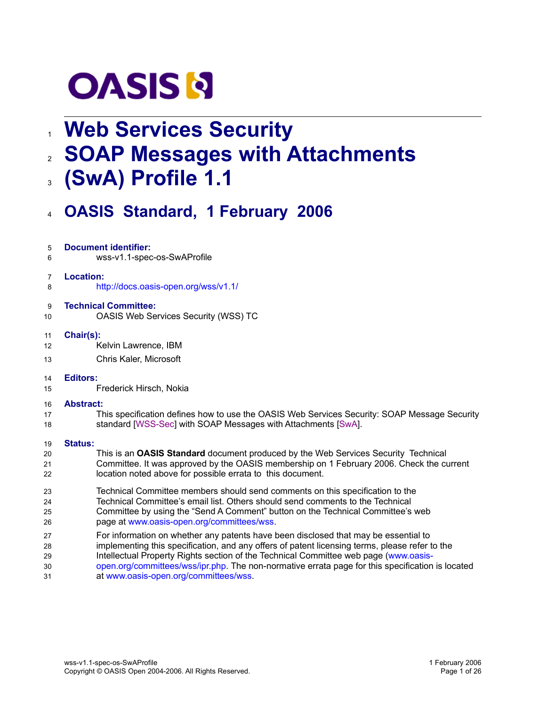

# **Web Services Security** 1

- **SOAP Messages with Attachments** 2
- **(SwA) Profile 1.1** 3

wss-v1.1-spec-os-SwAProfile

**Document identifier:**

5 6

## **OASIS Standard, 1 February 2006** 4

| $\overline{7}$ | Location:                                                                                        |
|----------------|--------------------------------------------------------------------------------------------------|
| 8              | http://docs.oasis-open.org/wss/v1.1/                                                             |
| 9              | <b>Technical Committee:</b>                                                                      |
| 10             | OASIS Web Services Security (WSS) TC                                                             |
| 11             | Chair(s):                                                                                        |
| 12             | Kelvin Lawrence, IBM                                                                             |
| 13             | Chris Kaler, Microsoft                                                                           |
| 14             | <b>Editors:</b>                                                                                  |
| 15             | Frederick Hirsch, Nokia                                                                          |
| 16             | <b>Abstract:</b>                                                                                 |
| 17             | This specification defines how to use the OASIS Web Services Security: SOAP Message Security     |
| 18             | standard [WSS-Sec] with SOAP Messages with Attachments [SwA].                                    |
| 19             | <b>Status:</b>                                                                                   |
| 20             | This is an OASIS Standard document produced by the Web Services Security Technical               |
| 21             | Committee. It was approved by the OASIS membership on 1 February 2006. Check the current         |
| 22             | location noted above for possible errata to this document.                                       |
| 23             | Technical Committee members should send comments on this specification to the                    |
| 24             | Technical Committee's email list. Others should send comments to the Technical                   |
| 25             | Committee by using the "Send A Comment" button on the Technical Committee's web                  |
| 26             | page at www.oasis-open.org/committees/wss.                                                       |
| 27             | For information on whether any patents have been disclosed that may be essential to              |
| 28             | implementing this specification, and any offers of patent licensing terms, please refer to the   |
| 29             | Intellectual Property Rights section of the Technical Committee web page (www.oasis-             |
| 30             | open.org/committees/wss/ipr.php. The non-normative errata page for this specification is located |

at www.oasis-open.org/committees/wss. 31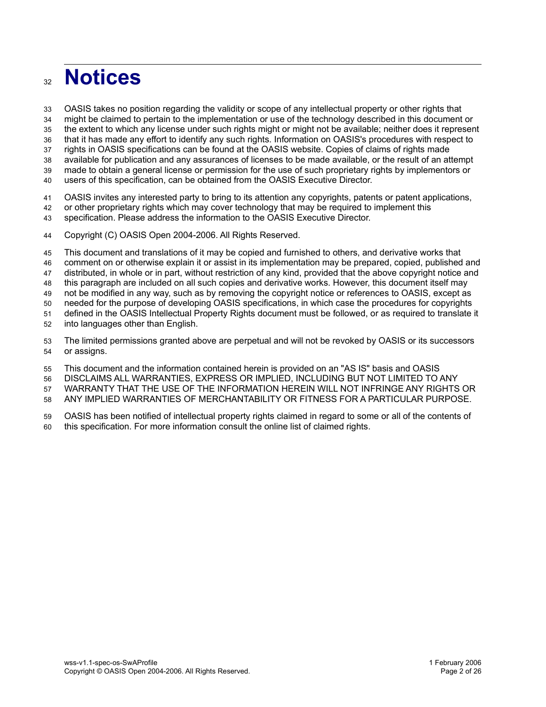## **Notices** 32

OASIS takes no position regarding the validity or scope of any intellectual property or other rights that 33

might be claimed to pertain to the implementation or use of the technology described in this document or 34

the extent to which any license under such rights might or might not be available; neither does it represent 35

that it has made any effort to identify any such rights. Information on OASIS's procedures with respect to 36

rights in OASIS specifications can be found at the OASIS website. Copies of claims of rights made available for publication and any assurances of licenses to be made available, or the result of an attempt 37

made to obtain a general license or permission for the use of such proprietary rights by implementors or 38 39

users of this specification, can be obtained from the OASIS Executive Director. 40

OASIS invites any interested party to bring to its attention any copyrights, patents or patent applications, 41

or other proprietary rights which may cover technology that may be required to implement this 42

specification. Please address the information to the OASIS Executive Director. 43

Copyright (C) OASIS Open 2004-2006. All Rights Reserved. 44

This document and translations of it may be copied and furnished to others, and derivative works that comment on or otherwise explain it or assist in its implementation may be prepared, copied, published and distributed, in whole or in part, without restriction of any kind, provided that the above copyright notice and this paragraph are included on all such copies and derivative works. However, this document itself may not be modified in any way, such as by removing the copyright notice or references to OASIS, except as needed for the purpose of developing OASIS specifications, in which case the procedures for copyrights defined in the OASIS Intellectual Property Rights document must be followed, or as required to translate it into languages other than English. 45 46 47 48 49 50 51 52

The limited permissions granted above are perpetual and will not be revoked by OASIS or its successors or assigns. 53 54

This document and the information contained herein is provided on an "AS IS" basis and OASIS 55

DISCLAIMS ALL WARRANTIES, EXPRESS OR IMPLIED, INCLUDING BUT NOT LIMITED TO ANY 56

WARRANTY THAT THE USE OF THE INFORMATION HEREIN WILL NOT INFRINGE ANY RIGHTS OR 57

ANY IMPLIED WARRANTIES OF MERCHANTABILITY OR FITNESS FOR A PARTICULAR PURPOSE. 58

OASIS has been notified of intellectual property rights claimed in regard to some or all of the contents of this specification. For more information consult the online list of claimed rights. 59 60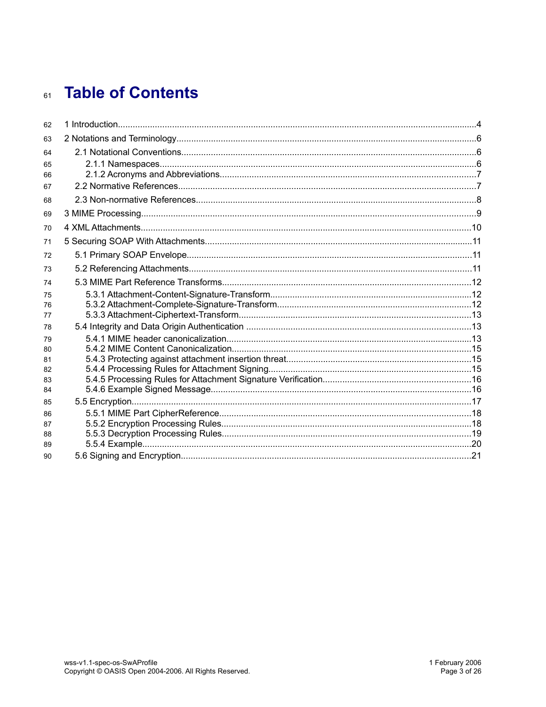# 61 Table of Contents

| 62       |  |
|----------|--|
| 63       |  |
| 64       |  |
| 65       |  |
| 66       |  |
| 67       |  |
| 68       |  |
| 69       |  |
| 70       |  |
| 71       |  |
| 72       |  |
| 73       |  |
| 74       |  |
| 75       |  |
| 76       |  |
| 77<br>78 |  |
| 79       |  |
| 80       |  |
| 81       |  |
| 82       |  |
| 83       |  |
| 84       |  |
| 85       |  |
| 86<br>87 |  |
| 88       |  |
| 89       |  |
| 90       |  |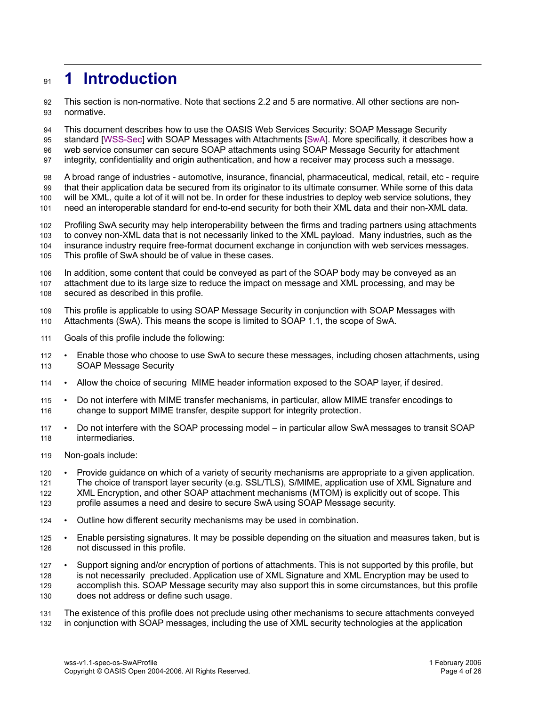## **1 Introduction 91**

This section is non-normative. Note that sections 2.2 and 5 are normative. All other sections are nonnormative. 92 93

This document describes how to use the OASIS Web Services Security: SOAP Message Security 94

standard [WSS-Sec] with SOAP Messages with Attachments [SwA]. More specifically, it describes how a web service consumer can secure SOAP attachments using SOAP Message Security for attachment 95 96

integrity, confidentiality and origin authentication, and how a receiver may process such a message. 97

A broad range of industries - automotive, insurance, financial, pharmaceutical, medical, retail, etc - require that their application data be secured from its originator to its ultimate consumer. While some of this data will be XML, quite a lot of it will not be. In order for these industries to deploy web service solutions, they 98 99 100

need an interoperable standard for end-to-end security for both their XML data and their non-XML data. 101

Profiling SwA security may help interoperability between the firms and trading partners using attachments to convey non-XML data that is not necessarily linked to the XML payload. Many industries, such as the insurance industry require free-format document exchange in conjunction with web services messages. 102 103 104

This profile of SwA should be of value in these cases. 105

In addition, some content that could be conveyed as part of the SOAP body may be conveyed as an attachment due to its large size to reduce the impact on message and XML processing, and may be secured as described in this profile. 106 107 108

- This profile is applicable to using SOAP Message Security in conjunction with SOAP Messages with Attachments (SwA). This means the scope is limited to SOAP 1.1, the scope of SwA. 109 110
- Goals of this profile include the following: 111
- Enable those who choose to use SwA to secure these messages, including chosen attachments, using SOAP Message Security 112 113
- Allow the choice of securing MIME header information exposed to the SOAP layer, if desired. 114
- Do not interfere with MIME transfer mechanisms, in particular, allow MIME transfer encodings to change to support MIME transfer, despite support for integrity protection. 115 116
- Do not interfere with the SOAP processing model in particular allow SwA messages to transit SOAP intermediaries. 117 118
- Non-goals include: 119
- Provide guidance on which of a variety of security mechanisms are appropriate to a given application. The choice of transport layer security (e.g. SSL/TLS), S/MIME, application use of XML Signature and XML Encryption, and other SOAP attachment mechanisms (MTOM) is explicitly out of scope. This profile assumes a need and desire to secure SwA using SOAP Message security. 120 121 122 123
- Outline how different security mechanisms may be used in combination. 124
- Enable persisting signatures. It may be possible depending on the situation and measures taken, but is not discussed in this profile. 125 126
- Support signing and/or encryption of portions of attachments. This is not supported by this profile, but is not necessarily precluded. Application use of XML Signature and XML Encryption may be used to accomplish this. SOAP Message security may also support this in some circumstances, but this profile does not address or define such usage. 127 128 129 130

The existence of this profile does not preclude using other mechanisms to secure attachments conveyed in conjunction with SOAP messages, including the use of XML security technologies at the application 131 132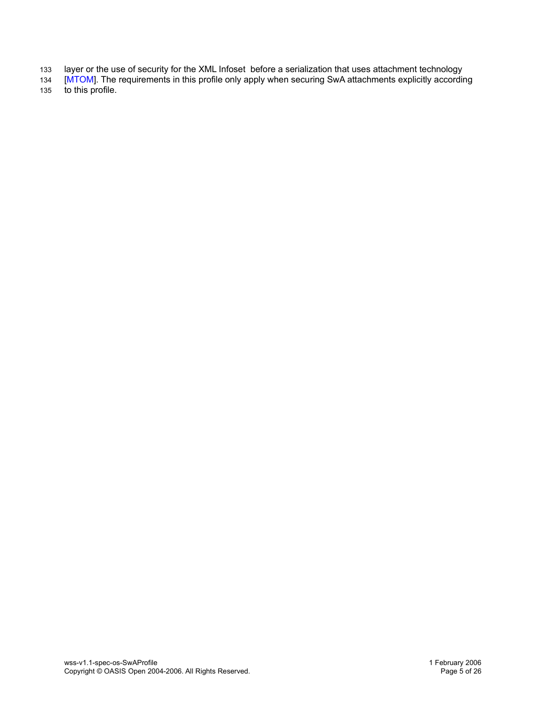- layer or the use of security for the XML Infoset before a serialization that uses attachment technology 133
- [MTOM]. The requirements in this profile only apply when securing SwA attachments explicitly according to this profile. 134 135

wss-v1.1-spec-os-SwAProfile 1 February 2006 Copyright © OASIS Open 2004-2006. All Rights Reserved. Page 5 of 26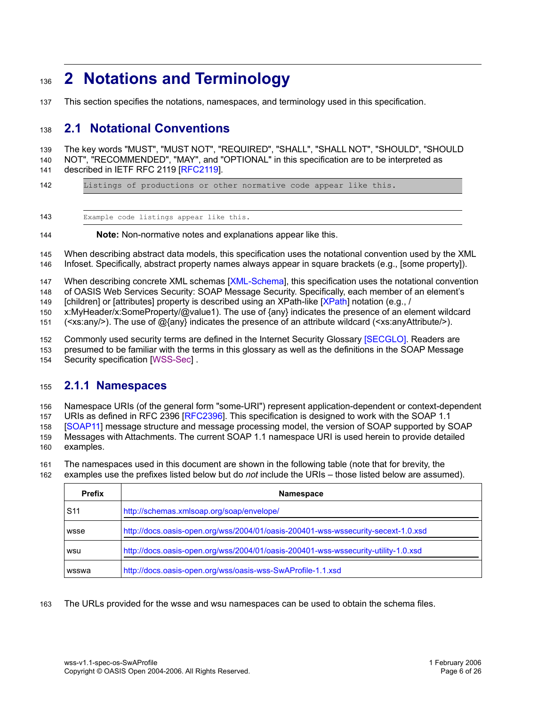## **2 Notations and Terminology** 136

This section specifies the notations, namespaces, and terminology used in this specification. 137

#### **2.1 Notational Conventions** 138

The key words "MUST", "MUST NOT", "REQUIRED", "SHALL", "SHALL NOT", "SHOULD", "SHOULD NOT", "RECOMMENDED", "MAY", and "OPTIONAL" in this specification are to be interpreted as described in IETF RFC 2119 [RFC2119]. 139 140 141

Listings of productions or other normative code appear like this. 142

Example code listings appear like this. 143

**Note:** Non-normative notes and explanations appear like this. 144

When describing abstract data models, this specification uses the notational convention used by the XML Infoset. Specifically, abstract property names always appear in square brackets (e.g., [some property]). 145 146

When describing concrete XML schemas [XML-Schema], this specification uses the notational convention 147

of OASIS Web Services Security: SOAP Message Security. Specifically, each member of an element's 148

[children] or [attributes] property is described using an XPath-like [XPath] notation (e.g., / 149

x:MyHeader/x:SomeProperty/@value1). The use of {any} indicates the presence of an element wildcard 150

(<xs:any/>). The use of @{any} indicates the presence of an attribute wildcard (<xs:anyAttribute/>). 151

Commonly used security terms are defined in the Internet Security Glossary [SECGLO]. Readers are 152

presumed to be familiar with the terms in this glossary as well as the definitions in the SOAP Message Security specification [WSS-Sec]. 153 154

#### **2.1.1 Namespaces** 155

Namespace URIs (of the general form "some-URI") represent application-dependent or context-dependent 156

URIs as defined in RFC 2396 [RFC2396]. This specification is designed to work with the SOAP 1.1 157

[SOAP11] message structure and message processing model, the version of SOAP supported by SOAP 158

Messages with Attachments. The current SOAP 1.1 namespace URI is used herein to provide detailed examples. 159 160

The namespaces used in this document are shown in the following table (note that for brevity, the examples use the prefixes listed below but do *not* include the URIs – those listed below are assumed). 161 162

| <b>Prefix</b>   | <b>Namespace</b>                                                                   |
|-----------------|------------------------------------------------------------------------------------|
| S <sub>11</sub> | http://schemas.xmlsoap.org/soap/envelope/                                          |
| wsse            | http://docs.oasis-open.org/wss/2004/01/oasis-200401-wss-wssecurity-secext-1.0.xsd  |
| wsu             | http://docs.oasis-open.org/wss/2004/01/oasis-200401-wss-wssecurity-utility-1.0.xsd |
| wsswa           | http://docs.oasis-open.org/wss/oasis-wss-SwAProfile-1.1.xsd                        |

The URLs provided for the wsse and wsu namespaces can be used to obtain the schema files. 163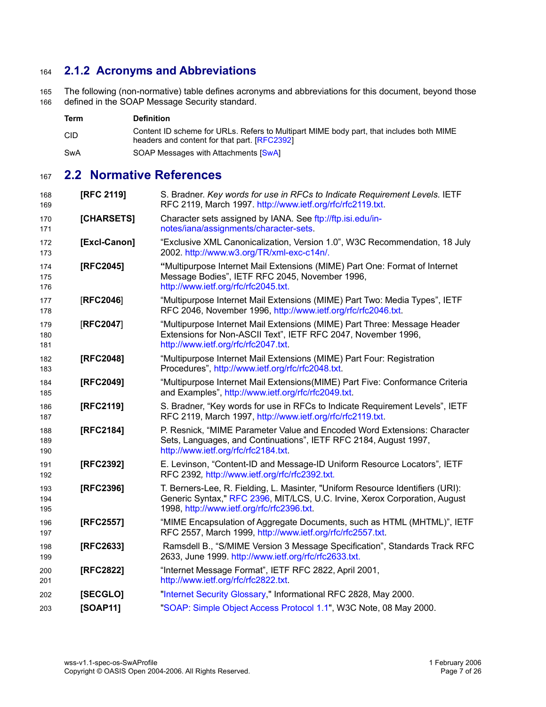#### **2.1.2 Acronyms and Abbreviations** 164

The following (non-normative) table defines acronyms and abbreviations for this document, beyond those defined in the SOAP Message Security standard. 165 166

| Term       | <b>Definition</b>                                                                                                                       |
|------------|-----------------------------------------------------------------------------------------------------------------------------------------|
| <b>CID</b> | Content ID scheme for URLs. Refers to Multipart MIME body part, that includes both MIME<br>headers and content for that part. [RFC2392] |
| SwA        | SOAP Messages with Attachments [SwA]                                                                                                    |

#### **2.2 Normative References** 167

| 168<br>169        | <b>[RFC 2119]</b> | S. Bradner. Key words for use in RFCs to Indicate Requirement Levels. IETF<br>RFC 2119, March 1997. http://www.ietf.org/rfc/rfc2119.txt.                                                                   |
|-------------------|-------------------|------------------------------------------------------------------------------------------------------------------------------------------------------------------------------------------------------------|
| 170<br>171        | [CHARSETS]        | Character sets assigned by IANA. See ftp://ftp.isi.edu/in-<br>notes/iana/assignments/character-sets.                                                                                                       |
| 172<br>173        | [Excl-Canon]      | "Exclusive XML Canonicalization, Version 1.0", W3C Recommendation, 18 July<br>2002. http://www.w3.org/TR/xml-exc-c14n/.                                                                                    |
| 174<br>175<br>176 | [RFC2045]         | "Multipurpose Internet Mail Extensions (MIME) Part One: Format of Internet<br>Message Bodies", IETF RFC 2045, November 1996,<br>http://www.ietf.org/rfc/rfc2045.txt.                                       |
| 177<br>178        | [RFC2046]         | "Multipurpose Internet Mail Extensions (MIME) Part Two: Media Types", IETF<br>RFC 2046, November 1996, http://www.ietf.org/rfc/rfc2046.txt.                                                                |
| 179<br>180<br>181 | [RFC2047]         | "Multipurpose Internet Mail Extensions (MIME) Part Three: Message Header<br>Extensions for Non-ASCII Text", IETF RFC 2047, November 1996,<br>http://www.ietf.org/rfc/rfc2047.txt.                          |
| 182<br>183        | [RFC2048]         | "Multipurpose Internet Mail Extensions (MIME) Part Four: Registration<br>Procedures", http://www.ietf.org/rfc/rfc2048.txt.                                                                                 |
| 184<br>185        | [RFC2049]         | "Multipurpose Internet Mail Extensions(MIME) Part Five: Conformance Criteria<br>and Examples", http://www.ietf.org/rfc/rfc2049.txt.                                                                        |
| 186<br>187        | [RFC2119]         | S. Bradner, "Key words for use in RFCs to Indicate Requirement Levels", IETF<br>RFC 2119, March 1997, http://www.ietf.org/rfc/rfc2119.txt.                                                                 |
| 188<br>189<br>190 | [RFC2184]         | P. Resnick, "MIME Parameter Value and Encoded Word Extensions: Character<br>Sets, Languages, and Continuations", IETF RFC 2184, August 1997,<br>http://www.ietf.org/rfc/rfc2184.txt.                       |
| 191<br>192        | [RFC2392]         | E. Levinson, "Content-ID and Message-ID Uniform Resource Locators", IETF<br>RFC 2392, http://www.ietf.org/rfc/rfc2392.txt.                                                                                 |
| 193<br>194<br>195 | [RFC2396]         | T. Berners-Lee, R. Fielding, L. Masinter, "Uniform Resource Identifiers (URI):<br>Generic Syntax," RFC 2396, MIT/LCS, U.C. Irvine, Xerox Corporation, August<br>1998, http://www.ietf.org/rfc/rfc2396.txt. |
| 196<br>197        | [RFC2557]         | "MIME Encapsulation of Aggregate Documents, such as HTML (MHTML)", IETF<br>RFC 2557, March 1999, http://www.ietf.org/rfc/rfc2557.txt.                                                                      |
| 198<br>199        | [RFC2633]         | Ramsdell B., "S/MIME Version 3 Message Specification", Standards Track RFC<br>2633, June 1999. http://www.ietf.org/rfc/rfc2633.txt.                                                                        |
| 200<br>201        | [RFC2822]         | "Internet Message Format", IETF RFC 2822, April 2001,<br>http://www.ietf.org/rfc/rfc2822.txt.                                                                                                              |
| 202               | [SECGLO]          | "Internet Security Glossary," Informational RFC 2828, May 2000.                                                                                                                                            |
| 203               | <b>[SOAP11]</b>   | "SOAP: Simple Object Access Protocol 1.1", W3C Note, 08 May 2000.                                                                                                                                          |
|                   |                   |                                                                                                                                                                                                            |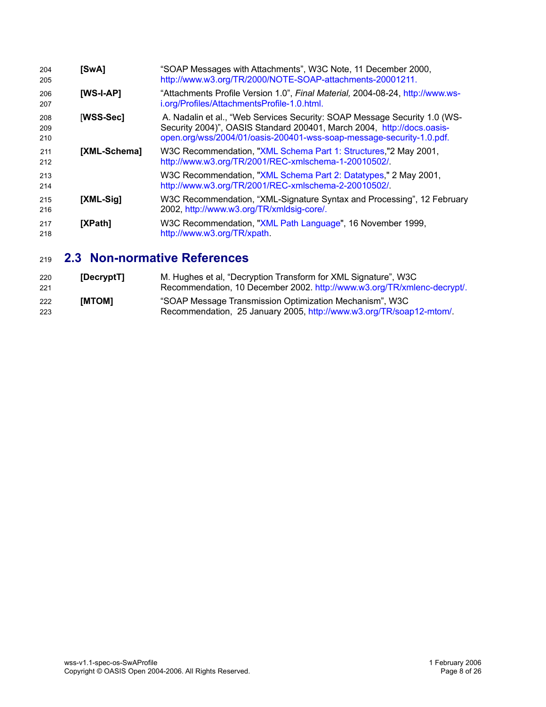| 204<br>205        | [SwA]        | "SOAP Messages with Attachments", W3C Note, 11 December 2000,<br>http://www.w3.org/TR/2000/NOTE-SOAP-attachments-20001211.                                                                                                  |
|-------------------|--------------|-----------------------------------------------------------------------------------------------------------------------------------------------------------------------------------------------------------------------------|
| 206<br>207        | $[WS-I-AP]$  | "Attachments Profile Version 1.0", Final Material, 2004-08-24, http://www.ws-<br>i.org/Profiles/AttachmentsProfile-1.0.html.                                                                                                |
| 208<br>209<br>210 | [WSS-Sec]    | A. Nadalin et al., "Web Services Security: SOAP Message Security 1.0 (WS-<br>Security 2004)", OASIS Standard 200401, March 2004, http://docs.oasis-<br>open.org/wss/2004/01/oasis-200401-wss-soap-message-security-1.0.pdf. |
| 211<br>212        | [XML-Schema] | W3C Recommendation, "XML Schema Part 1: Structures,"2 May 2001,<br>http://www.w3.org/TR/2001/REC-xmlschema-1-20010502/.                                                                                                     |
| 213<br>214        |              | W3C Recommendation, "XML Schema Part 2: Datatypes," 2 May 2001,<br>http://www.w3.org/TR/2001/REC-xmlschema-2-20010502/.                                                                                                     |
| 215<br>216        | [XML-Sig]    | W3C Recommendation, "XML-Signature Syntax and Processing", 12 February<br>2002, http://www.w3.org/TR/xmldsig-core/.                                                                                                         |
| 217<br>218        | [XPath]      | W3C Recommendation, "XML Path Language", 16 November 1999,<br>http://www.w3.org/TR/xpath.                                                                                                                                   |

## **2.3 Non-normative References** 219

| 220<br>221 | [DecryptT] | M. Hughes et al, "Decryption Transform for XML Signature", W3C<br>Recommendation, 10 December 2002. http://www.w3.org/TR/xmlenc-decrypt/. |
|------------|------------|-------------------------------------------------------------------------------------------------------------------------------------------|
| 222<br>223 | [MTOM]     | "SOAP Message Transmission Optimization Mechanism", W3C<br>Recommendation, 25 January 2005, http://www.w3.org/TR/soap12-mtom/.            |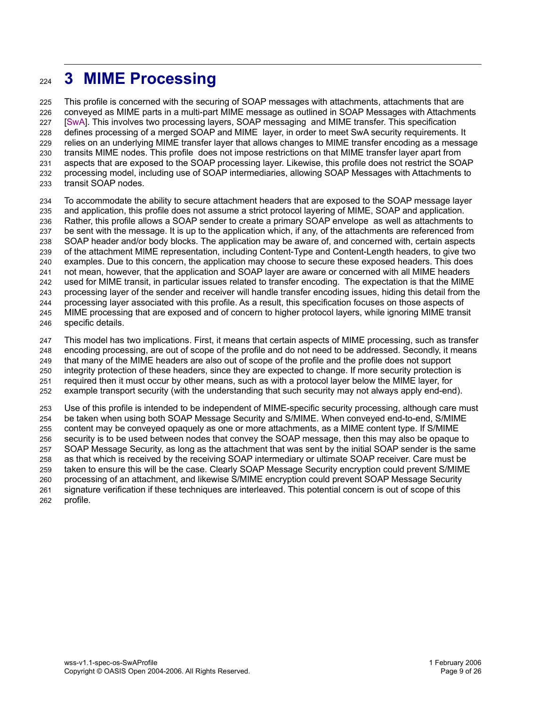## **3 MIME Processing** 224

This profile is concerned with the securing of SOAP messages with attachments, attachments that are conveyed as MIME parts in a multi-part MIME message as outlined in SOAP Messages with Attachments [SwA]. This involves two processing layers, SOAP messaging and MIME transfer. This specification defines processing of a merged SOAP and MIME layer, in order to meet SwA security requirements. It relies on an underlying MIME transfer layer that allows changes to MIME transfer encoding as a message transits MIME nodes. This profile does not impose restrictions on that MIME transfer layer apart from aspects that are exposed to the SOAP processing layer. Likewise, this profile does not restrict the SOAP processing model, including use of SOAP intermediaries, allowing SOAP Messages with Attachments to transit SOAP nodes. 225 226 227 228 229 230 231 232 233

To accommodate the ability to secure attachment headers that are exposed to the SOAP message layer and application, this profile does not assume a strict protocol layering of MIME, SOAP and application. Rather, this profile allows a SOAP sender to create a primary SOAP envelope as well as attachments to be sent with the message. It is up to the application which, if any, of the attachments are referenced from SOAP header and/or body blocks. The application may be aware of, and concerned with, certain aspects of the attachment MIME representation, including Content-Type and Content-Length headers, to give two examples. Due to this concern, the application may choose to secure these exposed headers. This does not mean, however, that the application and SOAP layer are aware or concerned with all MIME headers used for MIME transit, in particular issues related to transfer encoding. The expectation is that the MIME processing layer of the sender and receiver will handle transfer encoding issues, hiding this detail from the processing layer associated with this profile. As a result, this specification focuses on those aspects of MIME processing that are exposed and of concern to higher protocol layers, while ignoring MIME transit specific details. 234 235 236 237 238 239 240 241 242 243 244 245 246

This model has two implications. First, it means that certain aspects of MIME processing, such as transfer encoding processing, are out of scope of the profile and do not need to be addressed. Secondly, it means that many of the MIME headers are also out of scope of the profile and the profile does not support integrity protection of these headers, since they are expected to change. If more security protection is required then it must occur by other means, such as with a protocol layer below the MIME layer, for example transport security (with the understanding that such security may not always apply end-end). 247 248 249 250 251 252

Use of this profile is intended to be independent of MIME-specific security processing, although care must be taken when using both SOAP Message Security and S/MIME. When conveyed end-to-end, S/MIME content may be conveyed opaquely as one or more attachments, as a MIME content type. If S/MIME security is to be used between nodes that convey the SOAP message, then this may also be opaque to SOAP Message Security, as long as the attachment that was sent by the initial SOAP sender is the same as that which is received by the receiving SOAP intermediary or ultimate SOAP receiver. Care must be taken to ensure this will be the case. Clearly SOAP Message Security encryption could prevent S/MIME processing of an attachment, and likewise S/MIME encryption could prevent SOAP Message Security signature verification if these techniques are interleaved. This potential concern is out of scope of this profile. 253 254 255 256 257 258 259 260 261 262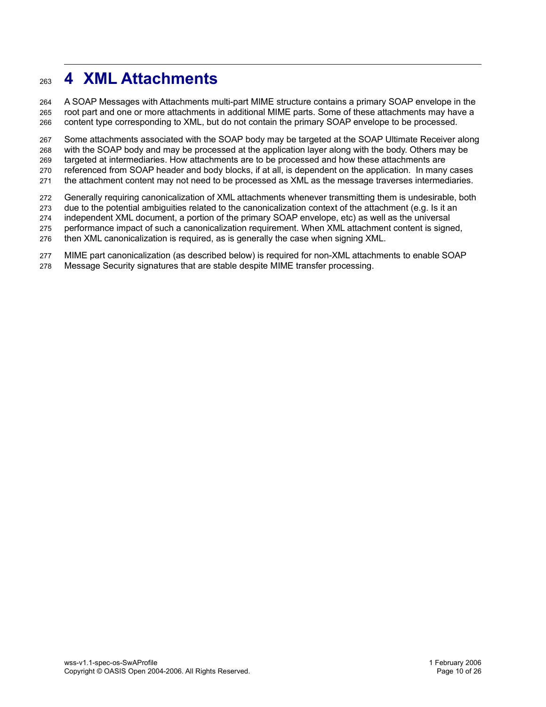## **4 XML Attachments** 263

A SOAP Messages with Attachments multi-part MIME structure contains a primary SOAP envelope in the root part and one or more attachments in additional MIME parts. Some of these attachments may have a content type corresponding to XML, but do not contain the primary SOAP envelope to be processed. 264 265 266

Some attachments associated with the SOAP body may be targeted at the SOAP Ultimate Receiver along with the SOAP body and may be processed at the application layer along with the body. Others may be targeted at intermediaries. How attachments are to be processed and how these attachments are referenced from SOAP header and body blocks, if at all, is dependent on the application. In many cases 267 268 269 270

the attachment content may not need to be processed as XML as the message traverses intermediaries. 271

Generally requiring canonicalization of XML attachments whenever transmitting them is undesirable, both 272

due to the potential ambiguities related to the canonicalization context of the attachment (e.g. Is it an 273

independent XML document, a portion of the primary SOAP envelope, etc) as well as the universal 274

performance impact of such a canonicalization requirement. When XML attachment content is signed, 275

then XML canonicalization is required, as is generally the case when signing XML. 276

MIME part canonicalization (as described below) is required for non-XML attachments to enable SOAP 277

Message Security signatures that are stable despite MIME transfer processing. 278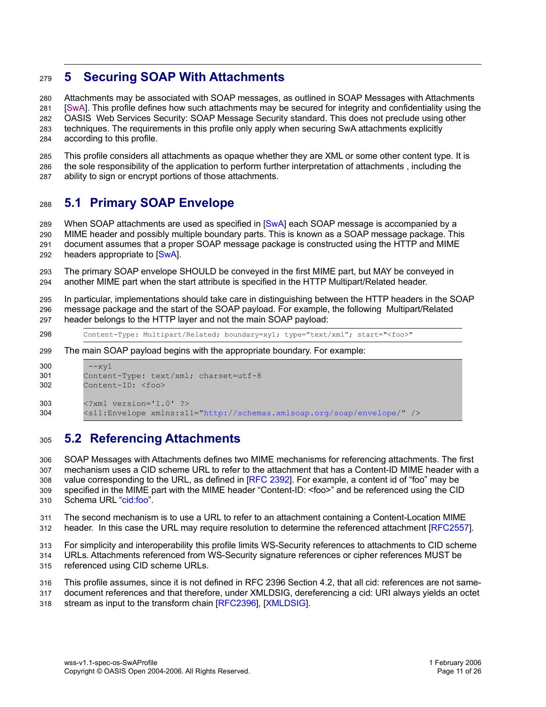#### **5 Securing SOAP With Attachments** 279

Attachments may be associated with SOAP messages, as outlined in SOAP Messages with Attachments [SwA]. This profile defines how such attachments may be secured for integrity and confidentiality using the OASIS Web Services Security: SOAP Message Security standard. This does not preclude using other techniques. The requirements in this profile only apply when securing SwA attachments explicitly according to this profile. 280 281 282 283 284

This profile considers all attachments as opaque whether they are XML or some other content type. It is the sole responsibility of the application to perform further interpretation of attachments , including the ability to sign or encrypt portions of those attachments. 285 286 287

#### **5.1 Primary SOAP Envelope** 288

When SOAP attachments are used as specified in [SwA] each SOAP message is accompanied by a MIME header and possibly multiple boundary parts. This is known as a SOAP message package. This document assumes that a proper SOAP message package is constructed using the HTTP and MIME headers appropriate to [SwA]. 289 290 291 292

The primary SOAP envelope SHOULD be conveyed in the first MIME part, but MAY be conveyed in another MIME part when the start attribute is specified in the HTTP Multipart/Related header. 293 294

In particular, implementations should take care in distinguishing between the HTTP headers in the SOAP message package and the start of the SOAP payload. For example, the following Multipart/Related header belongs to the HTTP layer and not the main SOAP payload: 295 296 297

Content-Type: Multipart/Related; boundary=xy1; type="text/xml"; start="<foo>" 298

The main SOAP payload begins with the appropriate boundary. For example: 299

```
--xv1Content-Type: text/xml; charset=utf-8
         Content-ID: <foo>
         <?xml version='1.0' ?>
         <s11:Envelope xmlns:s11="http://schemas.xmlsoap.org/soap/envelope/" />
300
301
302
303
304
```
#### **5.2 Referencing Attachments** 305

SOAP Messages with Attachments defines two MIME mechanisms for referencing attachments. The first mechanism uses a CID scheme URL to refer to the attachment that has a Content-ID MIME header with a value corresponding to the URL, as defined in [RFC 2392]. For example, a content id of "foo" may be specified in the MIME part with the MIME header "Content-ID: <foo>" and be referenced using the CID Schema URL "cid:foo". 306 307 308 309 310

The second mechanism is to use a URL to refer to an attachment containing a Content-Location MIME header. In this case the URL may require resolution to determine the referenced attachment [RFC2557]. 311 312

For simplicity and interoperability this profile limits WS-Security references to attachments to CID scheme 313

URLs. Attachments referenced from WS-Security signature references or cipher references MUST be referenced using CID scheme URLs. 314 315

This profile assumes, since it is not defined in RFC 2396 Section 4.2, that all cid: references are not samedocument references and that therefore, under XMLDSIG, dereferencing a cid: URI always yields an octet 316 317

stream as input to the transform chain [RFC2396], [XMLDSIG]. 318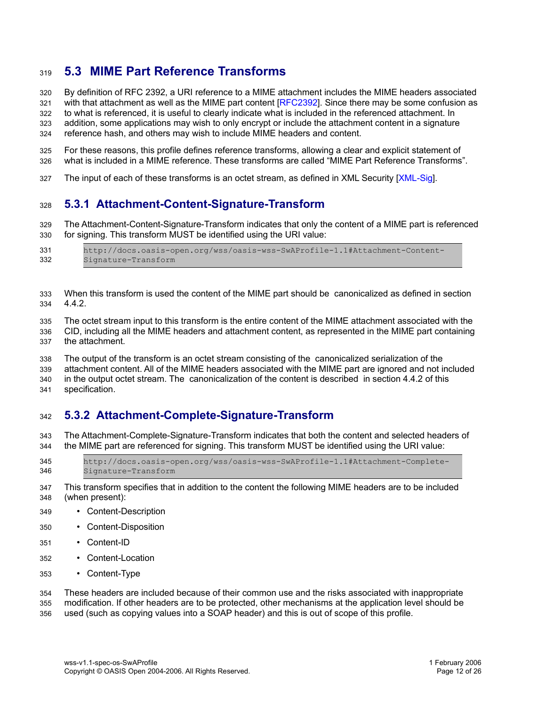#### **5.3 MIME Part Reference Transforms** 319

By definition of RFC 2392, a URI reference to a MIME attachment includes the MIME headers associated 320

with that attachment as well as the MIME part content [RFC2392]. Since there may be some confusion as to what is referenced, it is useful to clearly indicate what is included in the referenced attachment. In 321

addition, some applications may wish to only encrypt or include the attachment content in a signature 322 323

reference hash, and others may wish to include MIME headers and content. 324

For these reasons, this profile defines reference transforms, allowing a clear and explicit statement of what is included in a MIME reference. These transforms are called "MIME Part Reference Transforms". 325 326

The input of each of these transforms is an octet stream, as defined in XML Security [XML-Sig]. 327

#### **5.3.1 Attachment-Content-Signature-Transform** 328

The Attachment-Content-Signature-Transform indicates that only the content of a MIME part is referenced for signing. This transform MUST be identified using the URI value: 329 330

| 331 | http://docs.oasis-open.org/wss/oasis-wss-SwAProfile-1.1#Attachment-Content- |
|-----|-----------------------------------------------------------------------------|
| 332 | Signature-Transform                                                         |

When this transform is used the content of the MIME part should be canonicalized as defined in section 4.4.2. 333 334

The octet stream input to this transform is the entire content of the MIME attachment associated with the CID, including all the MIME headers and attachment content, as represented in the MIME part containing 335 336

the attachment. 337

The output of the transform is an octet stream consisting of the canonicalized serialization of the 338

attachment content. All of the MIME headers associated with the MIME part are ignored and not included 339

in the output octet stream. The canonicalization of the content is described in section 4.4.2 of this 340

specification. 341

#### **5.3.2 Attachment-Complete-Signature-Transform** 342

The Attachment-Complete-Signature-Transform indicates that both the content and selected headers of the MIME part are referenced for signing. This transform MUST be identified using the URI value: 343 344

http://docs.oasis-open.org/wss/oasis-wss-SwAProfile-1.1#Attachment-Complete-Signature-Transform 345 346

- This transform specifies that in addition to the content the following MIME headers are to be included (when present): 347 348
- Content-Description 349
- Content-Disposition 350
- Content-ID 351
- Content-Location 352
- Content-Type 353

These headers are included because of their common use and the risks associated with inappropriate 354

modification. If other headers are to be protected, other mechanisms at the application level should be 355

used (such as copying values into a SOAP header) and this is out of scope of this profile. 356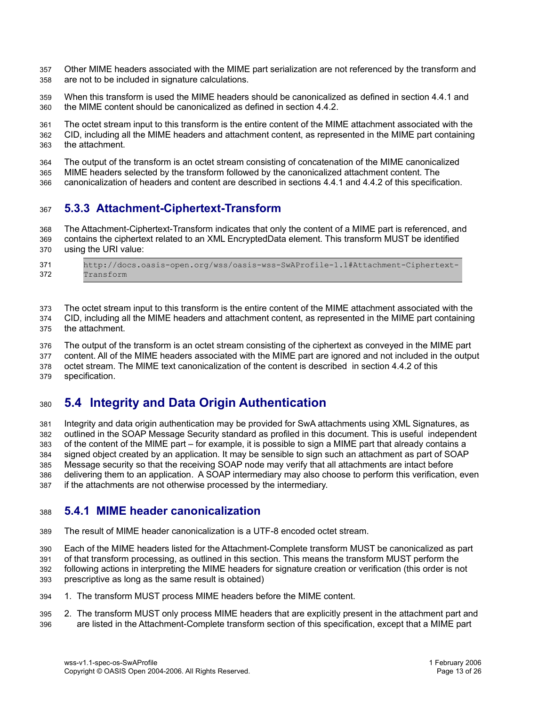Other MIME headers associated with the MIME part serialization are not referenced by the transform and are not to be included in signature calculations. 357 358

When this transform is used the MIME headers should be canonicalized as defined in section 4.4.1 and the MIME content should be canonicalized as defined in section 4.4.2. 359 360

The octet stream input to this transform is the entire content of the MIME attachment associated with the CID, including all the MIME headers and attachment content, as represented in the MIME part containing the attachment. 361 362 363

The output of the transform is an octet stream consisting of concatenation of the MIME canonicalized MIME headers selected by the transform followed by the canonicalized attachment content. The 364 365

canonicalization of headers and content are described in sections 4.4.1 and 4.4.2 of this specification. 366

#### **5.3.3 Attachment-Ciphertext-Transform** 367

The Attachment-Ciphertext-Transform indicates that only the content of a MIME part is referenced, and contains the ciphertext related to an XML EncryptedData element. This transform MUST be identified using the URI value: 368 369 370

http://docs.oasis-open.org/wss/oasis-wss-SwAProfile-1.1#Attachment-Ciphertext-Transform 371 372

The octet stream input to this transform is the entire content of the MIME attachment associated with the 373

CID, including all the MIME headers and attachment content, as represented in the MIME part containing the attachment. 374 375

The output of the transform is an octet stream consisting of the ciphertext as conveyed in the MIME part content. All of the MIME headers associated with the MIME part are ignored and not included in the output octet stream. The MIME text canonicalization of the content is described in section 4.4.2 of this 376 377 378

specification. 379

#### **5.4 Integrity and Data Origin Authentication** 380

Integrity and data origin authentication may be provided for SwA attachments using XML Signatures, as outlined in the SOAP Message Security standard as profiled in this document. This is useful independent of the content of the MIME part – for example, it is possible to sign a MIME part that already contains a signed object created by an application. It may be sensible to sign such an attachment as part of SOAP Message security so that the receiving SOAP node may verify that all attachments are intact before delivering them to an application. A SOAP intermediary may also choose to perform this verification, even if the attachments are not otherwise processed by the intermediary. 381 382 383 384 385 386 387

#### **5.4.1 MIME header canonicalization** 388

- The result of MIME header canonicalization is a UTF-8 encoded octet stream. 389
- Each of the MIME headers listed for the Attachment-Complete transform MUST be canonicalized as part 390
- of that transform processing, as outlined in this section. This means the transform MUST perform the 391
- following actions in interpreting the MIME headers for signature creation or verification (this order is not 392
- prescriptive as long as the same result is obtained) 393
- 1. The transform MUST process MIME headers before the MIME content. 394
- 2. The transform MUST only process MIME headers that are explicitly present in the attachment part and are listed in the Attachment-Complete transform section of this specification, except that a MIME part 395 396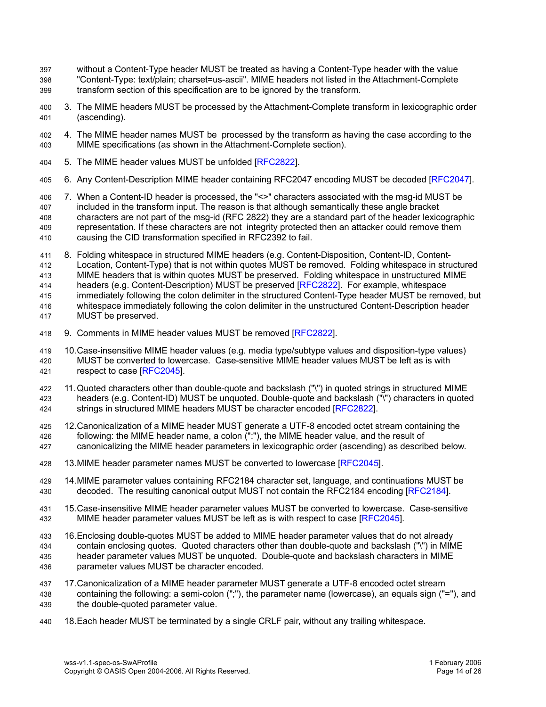- without a Content-Type header MUST be treated as having a Content-Type header with the value "Content-Type: text/plain; charset=us-ascii". MIME headers not listed in the Attachment-Complete transform section of this specification are to be ignored by the transform. 397 398 399
- 3. The MIME headers MUST be processed by the Attachment-Complete transform in lexicographic order (ascending). 400 401
- 4. The MIME header names MUST be processed by the transform as having the case according to the MIME specifications (as shown in the Attachment-Complete section). 402 403
- 5. The MIME header values MUST be unfolded [RFC2822]. 404
- 6. Any Content-Description MIME header containing RFC2047 encoding MUST be decoded [RFC2047]. 405
- 7. When a Content-ID header is processed, the "<>" characters associated with the msg-id MUST be included in the transform input. The reason is that although semantically these angle bracket characters are not part of the msq-id (RFC 2822) they are a standard part of the header lexicographic representation. If these characters are not integrity protected then an attacker could remove them causing the CID transformation specified in RFC2392 to fail. 406 407 408 409 410
- 8. Folding whitespace in structured MIME headers (e.g. Content-Disposition, Content-ID, Content-Location, Content-Type) that is not within quotes MUST be removed. Folding whitespace in structured MIME headers that is within quotes MUST be preserved. Folding whitespace in unstructured MIME headers (e.g. Content-Description) MUST be preserved [RFC2822]. For example, whitespace immediately following the colon delimiter in the structured Content-Type header MUST be removed, but whitespace immediately following the colon delimiter in the unstructured Content-Description header MUST be preserved. 411 412 413 414 415 416 417
- 9. Comments in MIME header values MUST be removed [RFC2822]. 418
- 10.Case-insensitive MIME header values (e.g. media type/subtype values and disposition-type values) MUST be converted to lowercase. Case-sensitive MIME header values MUST be left as is with respect to case [RFC2045]. 419 420 421
- 11.Quoted characters other than double-quote and backslash ("\") in quoted strings in structured MIME headers (e.g. Content-ID) MUST be unquoted. Double-quote and backslash ("\") characters in quoted strings in structured MIME headers MUST be character encoded [RFC2822]. 422 423 424
- 12.Canonicalization of a MIME header MUST generate a UTF-8 encoded octet stream containing the following: the MIME header name, a colon (":"), the MIME header value, and the result of 425 426
- canonicalizing the MIME header parameters in lexicographic order (ascending) as described below. 427
- 13.MIME header parameter names MUST be converted to lowercase [RFC2045]. 428
- 14.MIME parameter values containing RFC2184 character set, language, and continuations MUST be decoded. The resulting canonical output MUST not contain the RFC2184 encoding [RFC2184]. 429 430
- 15.Case-insensitive MIME header parameter values MUST be converted to lowercase. Case-sensitive MIME header parameter values MUST be left as is with respect to case [RFC2045]. 431 432
- 16.Enclosing double-quotes MUST be added to MIME header parameter values that do not already contain enclosing quotes. Quoted characters other than double-quote and backslash ("\") in MIME header parameter values MUST be unquoted. Double-quote and backslash characters in MIME parameter values MUST be character encoded. 433 434 435 436
- 17.Canonicalization of a MIME header parameter MUST generate a UTF-8 encoded octet stream containing the following: a semi-colon (";"), the parameter name (lowercase), an equals sign ("="), and the double-quoted parameter value. 437 438 439
- 18.Each header MUST be terminated by a single CRLF pair, without any trailing whitespace. 440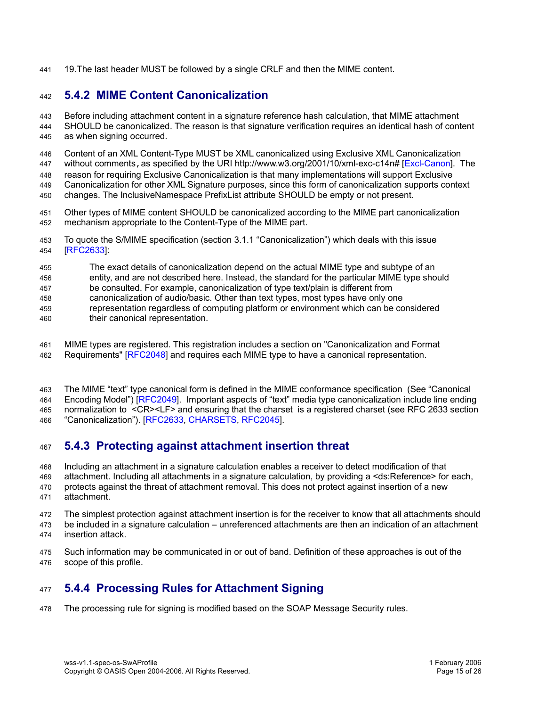19.The last header MUST be followed by a single CRLF and then the MIME content. 441

#### **5.4.2 MIME Content Canonicalization** 442

Before including attachment content in a signature reference hash calculation, that MIME attachment SHOULD be canonicalized. The reason is that signature verification requires an identical hash of content as when signing occurred. 443 444 445

Content of an XML Content-Type MUST be XML canonicalized using Exclusive XML Canonicalization without comments, as specified by the URI http://www.w3.org/2001/10/xml-exc-c14n# [Excl-Canon]. The reason for requiring Exclusive Canonicalization is that many implementations will support Exclusive Canonicalization for other XML Signature purposes, since this form of canonicalization supports context changes. The InclusiveNamespace PrefixList attribute SHOULD be empty or not present. 446 447 448 449 450

- Other types of MIME content SHOULD be canonicalized according to the MIME part canonicalization mechanism appropriate to the Content-Type of the MIME part. 451 452
- To quote the S/MIME specification (section 3.1.1 "Canonicalization") which deals with this issue [RFC2633]: 453 454
- The exact details of canonicalization depend on the actual MIME type and subtype of an 455
- entity, and are not described here. Instead, the standard for the particular MIME type should 456
- be consulted. For example, canonicalization of type text/plain is different from 457
- canonicalization of audio/basic. Other than text types, most types have only one 458
- representation regardless of computing platform or environment which can be considered their canonical representation. 459 460
- MIME types are registered. This registration includes a section on "Canonicalization and Format Requirements" [RFC2048] and requires each MIME type to have a canonical representation. 461 462
- The MIME "text" type canonical form is defined in the MIME conformance specification (See "Canonical Encoding Model") [RFC2049]. Important aspects of "text" media type canonicalization include line ending normalization to <CR><LF> and ensuring that the charset is a registered charset (see RFC 2633 section 463 464 465
- "Canonicalization"). [RFC2633, CHARSETS, RFC2045]. 466

#### **5.4.3 Protecting against attachment insertion threat** 467

Including an attachment in a signature calculation enables a receiver to detect modification of that 468

- attachment. Including all attachments in a signature calculation, by providing a <ds:Reference> for each, 469
- protects against the threat of attachment removal. This does not protect against insertion of a new attachment. 470 471
- The simplest protection against attachment insertion is for the receiver to know that all attachments should 472
- be included in a signature calculation unreferenced attachments are then an indication of an attachment insertion attack. 473 474
- Such information may be communicated in or out of band. Definition of these approaches is out of the scope of this profile. 475 476

#### **5.4.4 Processing Rules for Attachment Signing** 477

The processing rule for signing is modified based on the SOAP Message Security rules. 478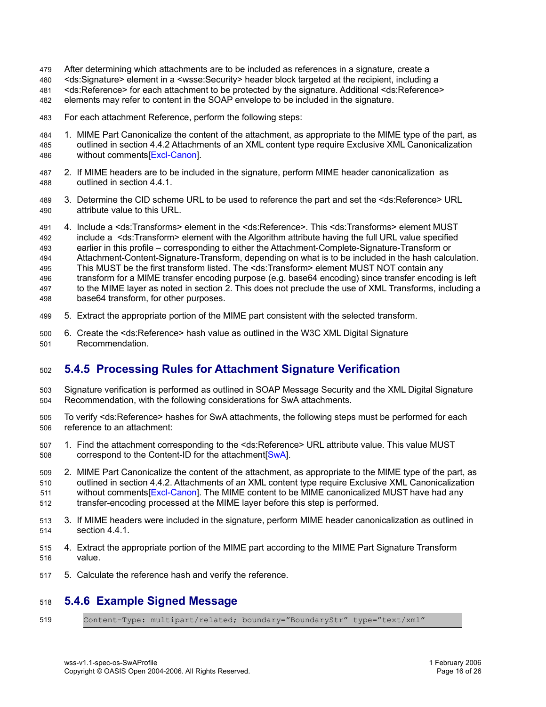- After determining which attachments are to be included as references in a signature, create a 479
- <ds:Signature> element in a <wsse:Security> header block targeted at the recipient, including a 480
- <ds:Reference> for each attachment to be protected by the signature. Additional <ds:Reference> 481
- elements may refer to content in the SOAP envelope to be included in the signature. 482
- For each attachment Reference, perform the following steps: 483
- 1. MIME Part Canonicalize the content of the attachment, as appropriate to the MIME type of the part, as outlined in section 4.4.2 Attachments of an XML content type require Exclusive XML Canonicalization without comments[Excl-Canon]. 484 485 486
- 2. If MIME headers are to be included in the signature, perform MIME header canonicalization as outlined in section 4.4.1. 487 488
- 3. Determine the CID scheme URL to be used to reference the part and set the <ds:Reference> URL attribute value to this URL. 489 490
- 4. Include a <ds:Transforms> element in the <ds:Reference>. This <ds:Transforms> element MUST include a <ds:Transform> element with the Algorithm attribute having the full URL value specified earlier in this profile – corresponding to either the Attachment-Complete-Signature-Transform or Attachment-Content-Signature-Transform, depending on what is to be included in the hash calculation. This MUST be the first transform listed. The <ds:Transform> element MUST NOT contain any transform for a MIME transfer encoding purpose (e.g. base64 encoding) since transfer encoding is left to the MIME layer as noted in section 2. This does not preclude the use of XML Transforms, including a base64 transform, for other purposes. 491 492 493 494 495 496 497 498
- 5. Extract the appropriate portion of the MIME part consistent with the selected transform. 499
- 6. Create the <ds:Reference> hash value as outlined in the W3C XML Digital Signature Recommendation. 500 501

#### **5.4.5 Processing Rules for Attachment Signature Verification** 502

- Signature verification is performed as outlined in SOAP Message Security and the XML Digital Signature Recommendation, with the following considerations for SwA attachments. 503 504
- To verify <ds:Reference> hashes for SwA attachments, the following steps must be performed for each reference to an attachment: 505 506
- 1. Find the attachment corresponding to the <ds:Reference> URL attribute value. This value MUST correspond to the Content-ID for the attachment[SwA]. 507 508
- 2. MIME Part Canonicalize the content of the attachment, as appropriate to the MIME type of the part, as outlined in section 4.4.2. Attachments of an XML content type require Exclusive XML Canonicalization without comments[Excl-Canon]. The MIME content to be MIME canonicalized MUST have had any transfer-encoding processed at the MIME layer before this step is performed. 509 510 511 512
- 3. If MIME headers were included in the signature, perform MIME header canonicalization as outlined in section 4.4.1. 513 514
- 4. Extract the appropriate portion of the MIME part according to the MIME Part Signature Transform value. 515 516
- 5. Calculate the reference hash and verify the reference. 517

#### **5.4.6 Example Signed Message** 518

Content-Type: multipart/related; boundary="BoundaryStr" type="text/xml" 519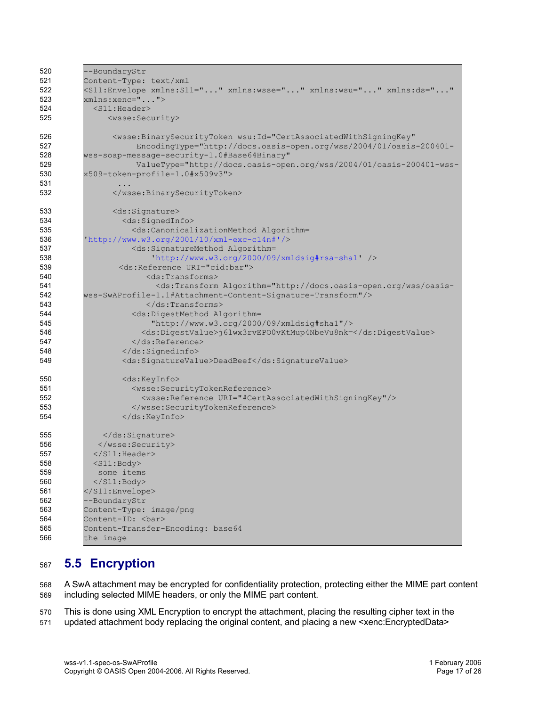| 520 | --BoundaryStr                                                                                                                                                                                              |
|-----|------------------------------------------------------------------------------------------------------------------------------------------------------------------------------------------------------------|
| 521 | Content-Type: text/xml                                                                                                                                                                                     |
| 522 | <s11:envelope <="" th="" xmlns:ds="" xmlns:s11="" xmlns:wsse="" xmlns:wsu=""></s11:envelope>                                                                                                               |
| 523 | $xmlns:$ xenc="">                                                                                                                                                                                          |
| 524 | $<$ S11:Header>                                                                                                                                                                                            |
| 525 | <wsse:security></wsse:security>                                                                                                                                                                            |
|     |                                                                                                                                                                                                            |
| 526 | <wsse:binarysecuritytoken <="" th="" wsu:id="CertAssociatedWithSigningKey"></wsse:binarysecuritytoken>                                                                                                     |
| 527 | EncodingType="http://docs.oasis-open.org/wss/2004/01/oasis-200401-                                                                                                                                         |
| 528 | wss-soap-message-security-1.0#Base64Binary"                                                                                                                                                                |
| 529 | ValueType="http://docs.oasis-open.org/wss/2004/01/oasis-200401-wss-                                                                                                                                        |
| 530 | x509-token-profile-1.0#x509v3">                                                                                                                                                                            |
| 531 |                                                                                                                                                                                                            |
| 532 |                                                                                                                                                                                                            |
| 533 | <ds:signature></ds:signature>                                                                                                                                                                              |
| 534 | <ds:signedinfo></ds:signedinfo>                                                                                                                                                                            |
| 535 | <ds:canonicalizationmethod algorithm="&lt;/th"></ds:canonicalizationmethod>                                                                                                                                |
| 536 | 'http://www.w3.org/2001/10/xml-exc-c14n#'/>                                                                                                                                                                |
| 537 | <ds:signaturemethod algorithm="&lt;/th"></ds:signaturemethod>                                                                                                                                              |
| 538 | $'http://www.w3.org/2000/09/xmldsig#rsa-sha1'$ />                                                                                                                                                          |
| 539 | <ds:reference uri="cid:bar"></ds:reference>                                                                                                                                                                |
| 540 | <ds:transforms></ds:transforms>                                                                                                                                                                            |
| 541 | <ds:transform algorithm="http://docs.oasis-open.org/wss/oasis-&lt;/th&gt;&lt;/tr&gt;&lt;tr&gt;&lt;th&gt;542&lt;/th&gt;&lt;th&gt;wss-SwAProfile-1.1#Attachment-Content-Signature-Transform"></ds:transform> |
| 543 | $\langle$ /ds:Transforms>                                                                                                                                                                                  |
| 544 | <ds:digestmethod algorithm="&lt;/th"></ds:digestmethod>                                                                                                                                                    |
| 545 | "http://www.w3.org/2000/09/xmldsig#shal"/>                                                                                                                                                                 |
| 546 | <ds:digestvalue>j6lwx3rvEPO0vKtMup4NbeVu8nk=</ds:digestvalue>                                                                                                                                              |
| 547 | $\langle$ /ds:Reference>                                                                                                                                                                                   |
| 548 |                                                                                                                                                                                                            |
| 549 | <ds:signaturevalue>DeadBeef</ds:signaturevalue>                                                                                                                                                            |
| 550 | <ds:keyinfo></ds:keyinfo>                                                                                                                                                                                  |
| 551 | <wsse:securitytokenreference></wsse:securitytokenreference>                                                                                                                                                |
| 552 | <wsse:reference uri="#CertAssociatedWithSigningKey"></wsse:reference>                                                                                                                                      |
| 553 |                                                                                                                                                                                                            |
| 554 |                                                                                                                                                                                                            |
| 555 |                                                                                                                                                                                                            |
| 556 |                                                                                                                                                                                                            |
| 557 | $\langle$ /S11:Header>                                                                                                                                                                                     |
| 558 | $<$ S11:Body>                                                                                                                                                                                              |
| 559 | some items                                                                                                                                                                                                 |
| 560 | $\langle$ /S11:Body>                                                                                                                                                                                       |
| 561 |                                                                                                                                                                                                            |
| 562 | --BoundaryStr                                                                                                                                                                                              |
| 563 | Content-Type: image/png                                                                                                                                                                                    |
| 564 | Content-ID: <bar></bar>                                                                                                                                                                                    |
| 565 | Content-Transfer-Encoding: base64                                                                                                                                                                          |
| 566 | the image                                                                                                                                                                                                  |
|     |                                                                                                                                                                                                            |

#### **5.5 Encryption** 567

A SwA attachment may be encrypted for confidentiality protection, protecting either the MIME part content including selected MIME headers, or only the MIME part content. 568 569

This is done using XML Encryption to encrypt the attachment, placing the resulting cipher text in the 570

updated attachment body replacing the original content, and placing a new <xenc:EncryptedData> 571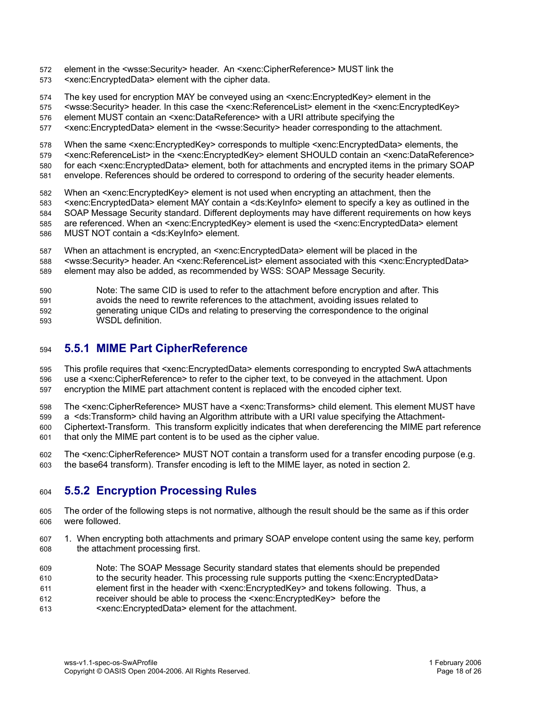- element in the <wsse:Security> header. An <xenc:CipherReference> MUST link the 572
- <xenc:EncryptedData> element with the cipher data. 573
- The key used for encryption MAY be conveyed using an <xenc:EncryptedKey> element in the 574
- <wsse:Security> header. In this case the <xenc:ReferenceList> element in the <xenc:EncryptedKey> 575
- element MUST contain an <xenc:DataReference> with a URI attribute specifying the 576
- <xenc:EncryptedData> element in the <wsse:Security> header corresponding to the attachment. 577
- When the same <xenc:EncryptedKey> corresponds to multiple <xenc:EncryptedData> elements, the 578
- <xenc:ReferenceList> in the <xenc:EncryptedKey> element SHOULD contain an <xenc:DataReference> 579
- for each <xenc:EncryptedData> element, both for attachments and encrypted items in the primary SOAP 580
- envelope. References should be ordered to correspond to ordering of the security header elements. 581
- When an <xenc:EncryptedKey> element is not used when encrypting an attachment, then the 582
- <xenc:EncryptedData> element MAY contain a <ds:KeyInfo> element to specify a key as outlined in the 583
- SOAP Message Security standard. Different deployments may have different requirements on how keys 584
- are referenced. When an <xenc:EncryptedKey> element is used the <xenc:EncryptedData> element 585
- MUST NOT contain a <ds:KeyInfo> element. 586
- When an attachment is encrypted, an <xenc:EncryptedData> element will be placed in the 587
- <wsse:Security> header. An <xenc:ReferenceList> element associated with this <xenc:EncryptedData> element may also be added, as recommended by WSS: SOAP Message Security. 588 589
- Note: The same CID is used to refer to the attachment before encryption and after. This 590
- avoids the need to rewrite references to the attachment, avoiding issues related to 591
- generating unique CIDs and relating to preserving the correspondence to the original WSDL definition. 592 593

#### **5.5.1 MIME Part CipherReference** 594

- This profile requires that <xenc:EncryptedData> elements corresponding to encrypted SwA attachments use a <xenc:CipherReference> to refer to the cipher text, to be conveyed in the attachment. Upon encryption the MIME part attachment content is replaced with the encoded cipher text. 595 596 597
- The <xenc:CipherReference> MUST have a <xenc:Transforms> child element. This element MUST have 598
- a <ds:Transform> child having an Algorithm attribute with a URI value specifying the Attachment-599
- Ciphertext-Transform. This transform explicitly indicates that when dereferencing the MIME part reference that only the MIME part content is to be used as the cipher value. 600 601
- The <xenc:CipherReference> MUST NOT contain a transform used for a transfer encoding purpose (e.g. the base64 transform). Transfer encoding is left to the MIME layer, as noted in section 2. 602 603

#### **5.5.2 Encryption Processing Rules** 604

- The order of the following steps is not normative, although the result should be the same as if this order were followed. 605 606
- 1. When encrypting both attachments and primary SOAP envelope content using the same key, perform the attachment processing first. 607 608
- Note: The SOAP Message Security standard states that elements should be prepended to the security header. This processing rule supports putting the <xenc:EncryptedData> 609 610
- element first in the header with <xenc:EncryptedKey> and tokens following. Thus, a 611
- receiver should be able to process the <xenc:EncryptedKey> before the 612
- <xenc:EncryptedData> element for the attachment. 613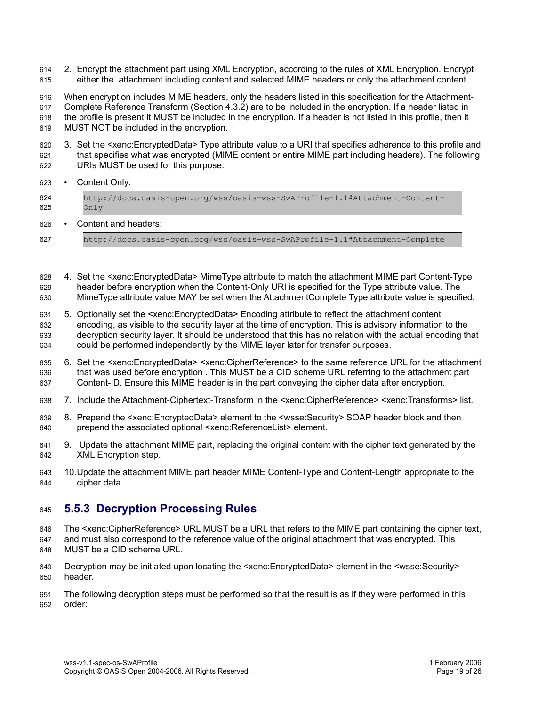- 2. Encrypt the attachment part using XML Encryption, according to the rules of XML Encryption. Encrypt either the attachment including content and selected MIME headers or only the attachment content. 614 615
- When encryption includes MIME headers, only the headers listed in this specification for the Attachment-Complete Reference Transform (Section 4.3.2) are to be included in the encryption. If a header listed in the profile is present it MUST be included in the encryption. If a header is not listed in this profile, then it 616 617 618
- MUST NOT be included in the encryption. 619
- 3. Set the <xenc:EncryptedData> Type attribute value to a URI that specifies adherence to this profile and that specifies what was encrypted (MIME content or entire MIME part including headers). The following URIs MUST be used for this purpose: 620 621 622
- Content Only: 623

| 624<br>625 | http://docs.oasis-open.org/wss/oasis-wss-SwAProfile-1.1#Attachment-Content-<br>Onlv |
|------------|-------------------------------------------------------------------------------------|
| 626        | Content and headers:                                                                |

- http://docs.oasis-open.org/wss/oasis-wss-SwAProfile-1.1#Attachment-Complete 627
- 4. Set the <xenc:EncryptedData> MimeType attribute to match the attachment MIME part Content-Type header before encryption when the Content-Only URI is specified for the Type attribute value. The MimeType attribute value MAY be set when the AttachmentComplete Type attribute value is specified. 628 629 630
- 5. Optionally set the <xenc:EncryptedData> Encoding attribute to reflect the attachment content encoding, as visible to the security layer at the time of encryption. This is advisory information to the decryption security layer. It should be understood that this has no relation with the actual encoding that could be performed independently by the MIME layer later for transfer purposes. 631 632 633 634
- 6. Set the <xenc:EncryptedData> <xenc:CipherReference> to the same reference URL for the attachment that was used before encryption . This MUST be a CID scheme URL referring to the attachment part Content-ID. Ensure this MIME header is in the part conveying the cipher data after encryption. 635 636 637
- 7. Include the Attachment-Ciphertext-Transform in the <xenc:CipherReference> <xenc:Transforms> list. 638
- 8. Prepend the <xenc:EncryptedData> element to the <wsse:Security> SOAP header block and then prepend the associated optional <xenc:ReferenceList> element. 639 640
- 9. Update the attachment MIME part, replacing the original content with the cipher text generated by the XML Encryption step. 641 642
- 10.Update the attachment MIME part header MIME Content-Type and Content-Length appropriate to the cipher data. 643 644

#### **5.5.3 Decryption Processing Rules** 645

- The <xenc:CipherReference> URL MUST be a URL that refers to the MIME part containing the cipher text, and must also correspond to the reference value of the original attachment that was encrypted. This 646 647
- MUST be a CID scheme URL. 648
- Decryption may be initiated upon locating the <xenc:EncryptedData> element in the <wsse:Security> header. 649 650
- The following decryption steps must be performed so that the result is as if they were performed in this order: 651 652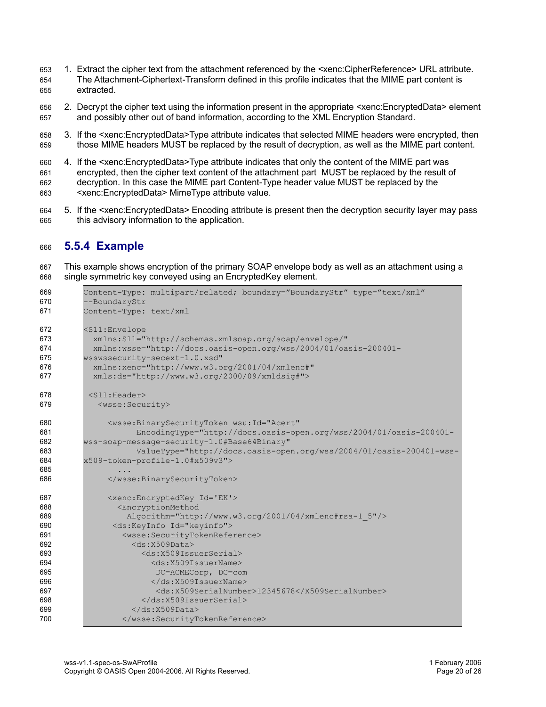- 1. Extract the cipher text from the attachment referenced by the <xenc:CipherReference> URL attribute. The Attachment-Ciphertext-Transform defined in this profile indicates that the MIME part content is extracted. 653 654 655
- 2. Decrypt the cipher text using the information present in the appropriate <xenc:EncryptedData> element and possibly other out of band information, according to the XML Encryption Standard. 656 657
- 3. If the <xenc:EncryptedData>Type attribute indicates that selected MIME headers were encrypted, then those MIME headers MUST be replaced by the result of decryption, as well as the MIME part content. 658 659
- 4. If the <xenc:EncryptedData>Type attribute indicates that only the content of the MIME part was encrypted, then the cipher text content of the attachment part MUST be replaced by the result of decryption. In this case the MIME part Content-Type header value MUST be replaced by the <xenc:EncryptedData> MimeType attribute value. 660 661 662 663
- 5. If the <xenc:EncryptedData> Encoding attribute is present then the decryption security layer may pass this advisory information to the application. 664 665

#### **5.5.4 Example** 666

This example shows encryption of the primary SOAP envelope body as well as an attachment using a single symmetric key conveyed using an EncryptedKey element. 667 668

```
Content-Type: multipart/related; boundary="BoundaryStr" type="text/xml"
         --BoundaryStr
         Content-Type: text/xml
         <S11:Envelope
           xmlns:S11="http://schemas.xmlsoap.org/soap/envelope/"
           xmlns:wsse="http://docs.oasis-open.org/wss/2004/01/oasis-200401-
         wsswssecurity-secext-1.0.xsd"
           xmlns:xenc="http://www.w3.org/2001/04/xmlenc#"
           xmls:ds="http://www.w3.org/2000/09/xmldsig#">
          <S11:Header>
            <wsse:Security>
              <wsse:BinarySecurityToken wsu:Id="Acert"
                    EncodingType="http://docs.oasis-open.org/wss/2004/01/oasis-200401-
         wss-soap-message-security-1.0#Base64Binary"
                    ValueType="http://docs.oasis-open.org/wss/2004/01/oasis-200401-wss-
         x509-token-profile-1.0#x509v3">
                 ...
              </wsse:BinarySecurityToken>
              <xenc:EncryptedKey Id='EK'>
                <EncryptionMethod
                  Algorithm="http://www.w3.org/2001/04/xmlenc#rsa-1_5"/>
               <ds:KeyInfo Id="keyinfo">
                 <wsse:SecurityTokenReference>
                    <ds:X509Data>
                      <ds:X509IssuerSerial>
                        <ds:X509IssuerName>
                         DC=ACMECorp, DC=com
                        </ds:X509IssuerName>
                         <ds:X509SerialNumber>12345678</X509SerialNumber>
                      </ds:X509IssuerSerial>
                    </ds:X509Data>
                 </wsse:SecurityTokenReference>
669
670
671
672
673
674
675
676
677
678
679
680
681
682
683
684
685
686
687
688
689
690
691
692
693
694
695
696
697
698
699
700
```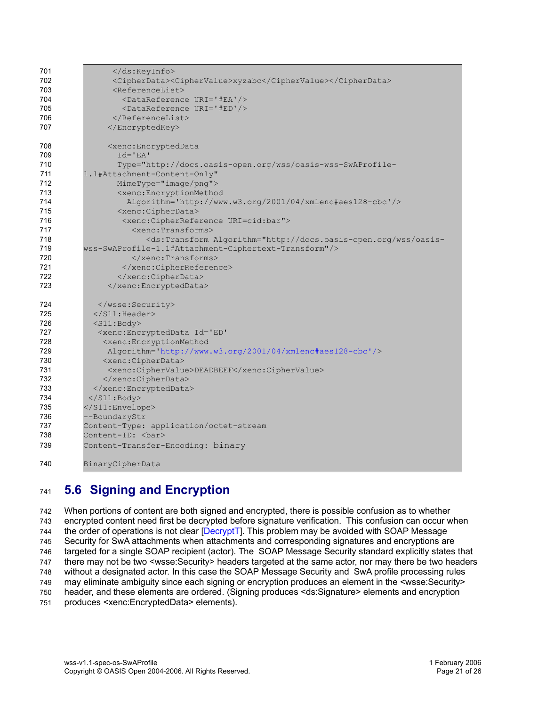| 701 | $\langle$ /ds:KeyInfo>                                                                                                                                                                              |
|-----|-----------------------------------------------------------------------------------------------------------------------------------------------------------------------------------------------------|
| 702 | <cipherdata><ciphervalue>xyzabc</ciphervalue></cipherdata>                                                                                                                                          |
| 703 | <referencelist></referencelist>                                                                                                                                                                     |
| 704 | <datareference uri="#EA"></datareference>                                                                                                                                                           |
| 705 | <datareference uri="#ED"></datareference>                                                                                                                                                           |
| 706 |                                                                                                                                                                                                     |
| 707 |                                                                                                                                                                                                     |
| 708 | <xenc:encrypteddata< th=""></xenc:encrypteddata<>                                                                                                                                                   |
| 709 | $Id = 'EA'$                                                                                                                                                                                         |
| 710 | Type="http://docs.oasis-open.org/wss/oasis-wss-SwAProfile-                                                                                                                                          |
| 711 | 1.1#Attachment-Content-Only"                                                                                                                                                                        |
| 712 | MimeType="image/png">                                                                                                                                                                               |
| 713 | <xenc:encryptionmethod< td=""></xenc:encryptionmethod<>                                                                                                                                             |
| 714 | Algorithm='http://www.w3.org/2001/04/xmlenc#aes128-cbc'/>                                                                                                                                           |
| 715 | <xenc:cipherdata></xenc:cipherdata>                                                                                                                                                                 |
| 716 | <xenc:cipherreference uri='cid:bar"'></xenc:cipherreference>                                                                                                                                        |
| 717 | <xenc:transforms></xenc:transforms>                                                                                                                                                                 |
| 718 | <ds:transform algorithm="http://docs.oasis-open.org/wss/oasis-&lt;/td&gt;&lt;/tr&gt;&lt;tr&gt;&lt;td&gt;719&lt;/td&gt;&lt;td&gt;wss-SwAProfile-1.1#Attachment-Ciphertext-Transform"></ds:transform> |
| 720 | $\langle x \rangle$ / xenc: Transforms                                                                                                                                                              |
| 721 |                                                                                                                                                                                                     |
| 722 |                                                                                                                                                                                                     |
| 723 |                                                                                                                                                                                                     |
| 724 |                                                                                                                                                                                                     |
| 725 | $\langle$ /S11:Header>                                                                                                                                                                              |
| 726 | $<$ S $11$ : Body>                                                                                                                                                                                  |
| 727 | <xenc: <="" encrypteddata="" id="ED" td=""></xenc:>                                                                                                                                                 |
| 728 | <xenc:encryptionmethod< td=""></xenc:encryptionmethod<>                                                                                                                                             |
| 729 | Algorithm='http://www.w3.org/2001/04/xmlenc#aes128-cbc'/>                                                                                                                                           |
| 730 | <xenc:cipherdata></xenc:cipherdata>                                                                                                                                                                 |
| 731 | <xenc:ciphervalue>DEADBEEF</xenc:ciphervalue>                                                                                                                                                       |
| 732 |                                                                                                                                                                                                     |
| 733 |                                                                                                                                                                                                     |
| 734 | $\langle$ /S11:Body>                                                                                                                                                                                |
| 735 |                                                                                                                                                                                                     |
| 736 | --BoundaryStr                                                                                                                                                                                       |
| 737 | Content-Type: application/octet-stream                                                                                                                                                              |
| 738 | Content-ID: <bar></bar>                                                                                                                                                                             |
| 739 | Content-Transfer-Encoding: binary                                                                                                                                                                   |
| 740 | BinaryCipherData                                                                                                                                                                                    |

#### **5.6 Signing and Encryption** 741

When portions of content are both signed and encrypted, there is possible confusion as to whether encrypted content need first be decrypted before signature verification. This confusion can occur when the order of operations is not clear [DecryptT]. This problem may be avoided with SOAP Message Security for SwA attachments when attachments and corresponding signatures and encryptions are targeted for a single SOAP recipient (actor). The SOAP Message Security standard explicitly states that there may not be two <wsse:Security> headers targeted at the same actor, nor may there be two headers without a designated actor. In this case the SOAP Message Security and SwA profile processing rules may eliminate ambiguity since each signing or encryption produces an element in the <wsse:Security> header, and these elements are ordered. (Signing produces <ds:Signature> elements and encryption produces <xenc:EncryptedData> elements). 742 743 744 745 746 747 748 749 750 751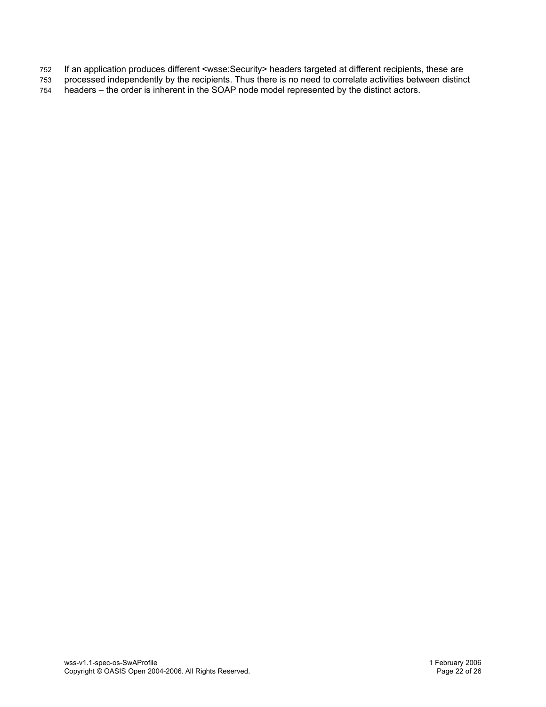- If an application produces different <wsse:Security> headers targeted at different recipients, these are 752
- processed independently by the recipients. Thus there is no need to correlate activities between distinct 753
- headers the order is inherent in the SOAP node model represented by the distinct actors. 754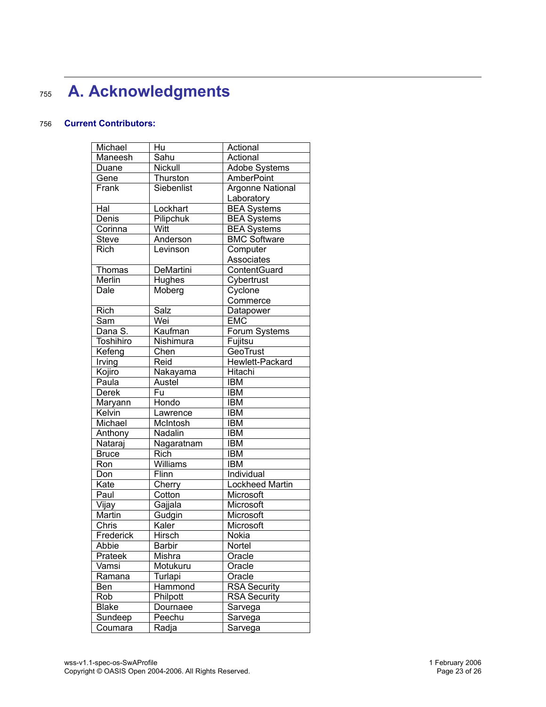## **A.** Acknowledgments 7 5 5

#### **current Contributors:** 7 5 6

| <b>Adobe Systems</b>   |
|------------------------|
|                        |
| Argonne National       |
|                        |
| <b>BEA Systems</b>     |
| <b>BEA Systems</b>     |
| <b>BEA Systems</b>     |
| <b>BMC Software</b>    |
|                        |
|                        |
| ContentGuard           |
|                        |
|                        |
|                        |
|                        |
|                        |
| Forum Systems          |
|                        |
|                        |
| Hewlett-Packard        |
|                        |
|                        |
|                        |
|                        |
|                        |
|                        |
|                        |
|                        |
|                        |
|                        |
|                        |
| <b>Lockheed Martin</b> |
|                        |
|                        |
|                        |
|                        |
|                        |
|                        |
|                        |
|                        |
|                        |
| <b>RSA Security</b>    |
| <b>RSA Security</b>    |
|                        |
|                        |
|                        |
|                        |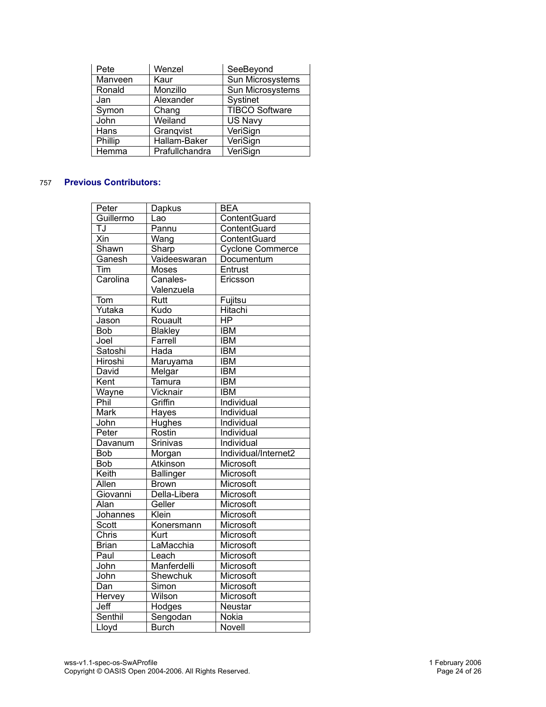| Pete    | Wenzel         | SeeBeyond        |
|---------|----------------|------------------|
| Manveen | Kaur           | Sun Microsystems |
| Ronald  | Monzillo       | Sun Microsystems |
| Jan     | Alexander      | Systinet         |
| Symon   | Chang          | TIBCO Software   |
| John    | Weiland        | US Navy          |
| Hans    | Grangvist      | VeriSign         |
| Phillip | Hallam-Baker   | VeriSign         |
| Hemma   | Prafullchandra | VeriSign         |

#### **Previous Contributors:** 7 5 7

| Peter        | Dapkus           | <b>BEA</b>              |
|--------------|------------------|-------------------------|
| Guillermo    | Lao              | ContentGuard            |
| TJ           | Pannu            | ContentGuard            |
| Xin          | Wang             | ContentGuard            |
| Shawn        | Sharp            | <b>Cyclone Commerce</b> |
| Ganesh       | Vaideeswaran     | Documentum              |
| Tim          | Moses            | Entrust                 |
| Carolina     | Canales-         | Ericsson                |
|              | Valenzuela       |                         |
| Tom          | Rutt             | Fujitsu                 |
| Yutaka       | Kudo             | Hitachi                 |
| Jason        | Rouault          | <b>HP</b>               |
| Bob          | <b>Blakley</b>   | <b>IBM</b>              |
| Joel         | Farrell          | <b>IBM</b>              |
| Satoshi      | Hada             | <b>IBM</b>              |
| Hiroshi      | Maruyama         | <b>IBM</b>              |
| David        | Melgar           | <b>IBM</b>              |
| Kent         | Tamura           | <b>IBM</b>              |
| Wayne        | Vicknair         | <b>IBM</b>              |
| Phil         | Griffin          | Individual              |
| <b>Mark</b>  | Hayes            | Individual              |
| John         | Hughes           | Individual              |
| Peter        | Rostin           | Individual              |
| Davanum      | Srinivas         | Individual              |
| Bob          | Morgan           | Individual/Internet2    |
| Bob          | Atkinson         | Microsoft               |
| Keith        | <b>Ballinger</b> | Microsoft               |
| Allen        | <b>Brown</b>     | Microsoft               |
| Giovanni     | Della-Libera     | Microsoft               |
| Alan         | Geller           | Microsoft               |
| Johannes     | Klein            | Microsoft               |
| Scott        | Konersmann       | Microsoft               |
| Chris        | Kurt             | Microsoft               |
| <b>Brian</b> | LaMacchia        | Microsoft               |
| Paul         | Leach            | Microsoft               |
| John         | Manferdelli      | Microsoft               |
| John         | Shewchuk         | Microsoft               |
| Dan          | Simon            | Microsoft               |
| Hervey       | Wilson           | Microsoft               |
| Jeff         | Hodges           | Neustar                 |
| Senthil      | Sengodan         | Nokia                   |
| Lloyd        | <b>Burch</b>     | Novell                  |